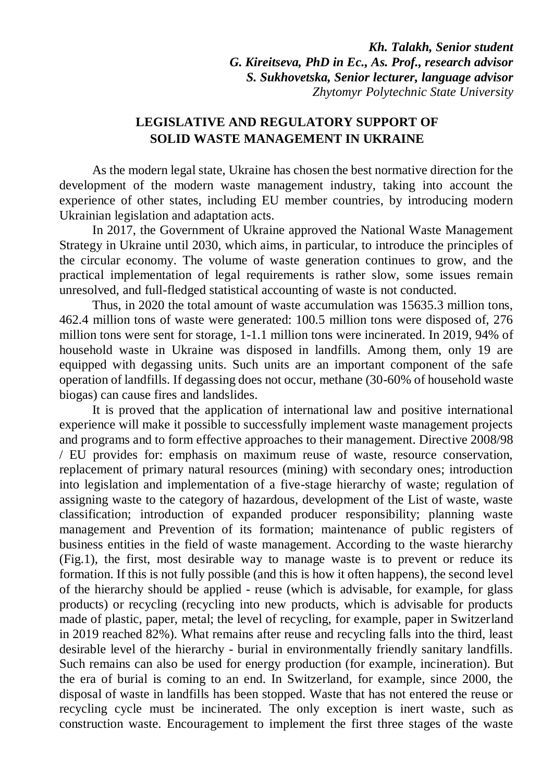*Kh. Talakh, Senior student G. Kireitseva, PhD in Ec., As. Prof., research advisor S. Sukhovetska, Senior lecturer, language advisor Zhytomyr Polytechnic State University*

## **LEGISLATIVE AND REGULATORY SUPPORT OF SOLID WASTE MANAGEMENT IN UKRAINE**

As the modern legal state, Ukraine has chosen the best normative direction for the development of the modern waste management industry, taking into account the experience of other states, including EU member countries, by introducing modern Ukrainian legislation and adaptation acts.

In 2017, the Government of Ukraine approved the National Waste Management Strategy in Ukraine until 2030, which aims, in particular, to introduce the principles of the circular economy. The volume of waste generation continues to grow, and the practical implementation of legal requirements is rather slow, some issues remain unresolved, and full-fledged statistical accounting of waste is not conducted.

Thus, in 2020 the total amount of waste accumulation was 15635.3 million tons, 462.4 million tons of waste were generated: 100.5 million tons were disposed of, 276 million tons were sent for storage, 1-1.1 million tons were incinerated. In 2019, 94% of household waste in Ukraine was disposed in landfills. Among them, only 19 are equipped with degassing units. Such units are an important component of the safe operation of landfills. If degassing does not occur, methane (30-60% of household waste biogas) can cause fires and landslides.

It is proved that the application of international law and positive international experience will make it possible to successfully implement waste management projects and programs and to form effective approaches to their management. Directive 2008/98 / EU provides for: emphasis on maximum reuse of waste, resource conservation, replacement of primary natural resources (mining) with secondary ones; introduction into legislation and implementation of a five-stage hierarchy of waste; regulation of assigning waste to the category of hazardous, development of the List of waste, waste classification; introduction of expanded producer responsibility; planning waste management and Prevention of its formation; maintenance of public registers of business entities in the field of waste management. According to the waste hierarchy (Fig.1), the first, most desirable way to manage waste is to prevent or reduce its formation. If this is not fully possible (and this is how it often happens), the second level of the hierarchy should be applied - reuse (which is advisable, for example, for glass products) or recycling (recycling into new products, which is advisable for products made of plastic, paper, metal; the level of recycling, for example, paper in Switzerland in 2019 reached 82%). What remains after reuse and recycling falls into the third, least desirable level of the hierarchy - burial in environmentally friendly sanitary landfills. Such remains can also be used for energy production (for example, incineration). But the era of burial is coming to an end. In Switzerland, for example, since 2000, the disposal of waste in landfills has been stopped. Waste that has not entered the reuse or recycling cycle must be incinerated. The only exception is inert waste, such as construction waste. Encouragement to implement the first three stages of the waste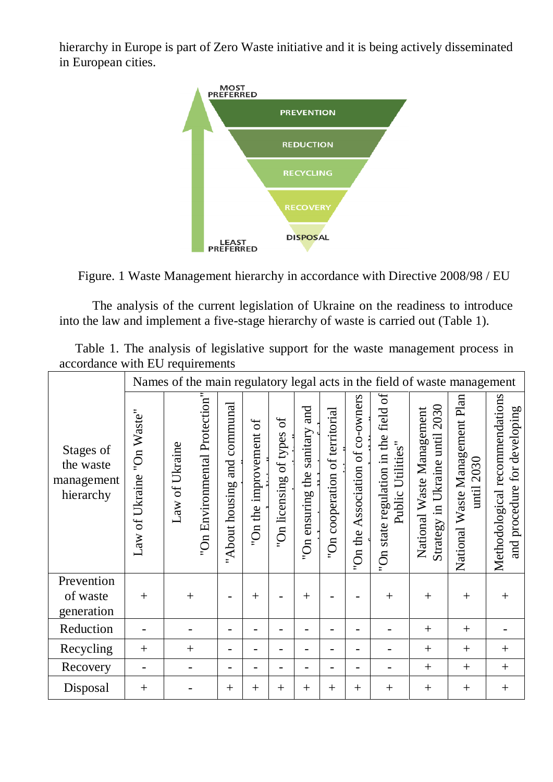hierarchy in Europe is part of Zero Waste initiative and it is being actively disseminated in European cities.





The analysis of the current legislation of Ukraine on the readiness to introduce into the law and implement a five-stage hierarchy of waste is carried out (Table 1).

| Table 1. The analysis of legislative support for the waste management process in |  |  |  |  |
|----------------------------------------------------------------------------------|--|--|--|--|
| accordance with EU requirements                                                  |  |  |  |  |

|                                                   | Names of the main regulatory legal acts in the field of waste management |                |                               |                                   |                           |                                       |                                                        |                                                   |                                     |                                                                                             |                                                                      |                                                  |                                                                   |
|---------------------------------------------------|--------------------------------------------------------------------------|----------------|-------------------------------|-----------------------------------|---------------------------|---------------------------------------|--------------------------------------------------------|---------------------------------------------------|-------------------------------------|---------------------------------------------------------------------------------------------|----------------------------------------------------------------------|--------------------------------------------------|-------------------------------------------------------------------|
| Stages of<br>the waste<br>management<br>hierarchy | "On Waste"<br>Law of Ukraine                                             | Law of Ukraine | "On Environmental Protection" | communal<br>and<br>"About housing | 6f<br>"On the improvement | $\sigma$<br>of types<br>"On licensing | and<br>sanitary<br>the<br>ensuring<br>$\sum_{i=1}^{n}$ | of territorial<br>cooperation<br>$\sum_{i=1}^{n}$ | Association of co-owners<br>"On the | ð<br>state regulation in the field<br>Utilities"<br>Public<br>$\mathfrak{g}_{\mathbf{O}^n}$ | 2030<br>National Waste Management<br>until<br>Ukraine<br>Strategy in | National Waste Management Plan<br>2030<br>$unii$ | Methodological recommendations<br>for developing<br>and procedure |
| Prevention                                        |                                                                          |                |                               |                                   |                           |                                       |                                                        |                                                   |                                     |                                                                                             |                                                                      |                                                  |                                                                   |
| of waste                                          | $+$                                                                      | $^{+}$         |                               |                                   | $^{+}$                    |                                       | $+$                                                    |                                                   |                                     | $+$                                                                                         | $^{+}$                                                               | $^{+}$                                           | $+$                                                               |
| generation                                        |                                                                          |                |                               |                                   |                           |                                       |                                                        |                                                   |                                     |                                                                                             |                                                                      |                                                  |                                                                   |
| Reduction                                         |                                                                          |                |                               |                                   |                           |                                       |                                                        |                                                   |                                     |                                                                                             | $^{+}$                                                               | $+$                                              |                                                                   |
| Recycling                                         | $+$                                                                      | $^{+}$         |                               |                                   |                           |                                       |                                                        |                                                   |                                     |                                                                                             | $+$                                                                  | $+$                                              | $^{+}$                                                            |
| Recovery                                          |                                                                          |                |                               | -                                 |                           |                                       |                                                        |                                                   |                                     |                                                                                             | $+$                                                                  | $+$                                              | $^{+}$                                                            |
| Disposal                                          | $^{+}$                                                                   |                |                               | $^{+}$                            | $^{+}$                    | $^{+}$                                | $^{+}$                                                 | $+$                                               | $^{+}$                              | $+$                                                                                         | $^{+}$                                                               | $+$                                              | $+$                                                               |